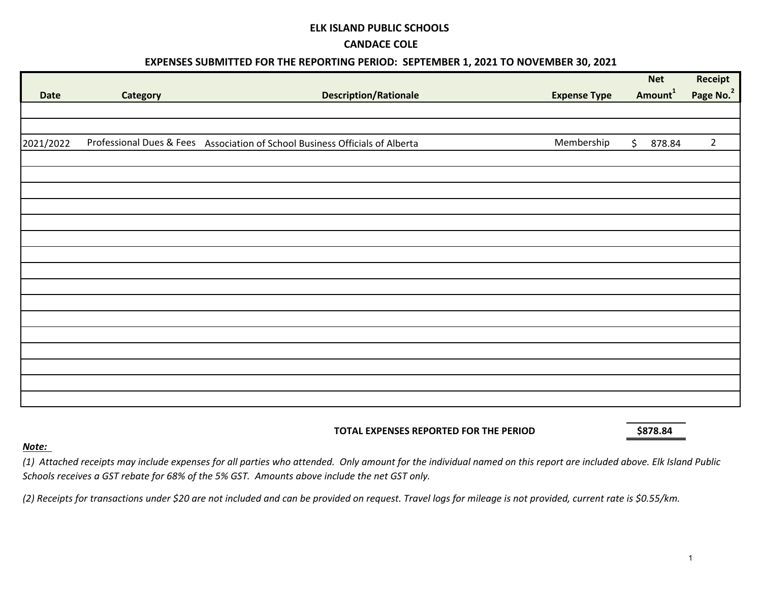#### **ELK ISLAND PUBLIC SCHOOLS**

#### **CANDACE COLE**

### **EXPENSES SUBMITTED FOR THE REPORTING PERIOD: SEPTEMBER 1, 2021 TO NOVEMBER 30, 2021**

|             |          |                                                                              |                     | <b>Net</b>          | Receipt               |
|-------------|----------|------------------------------------------------------------------------------|---------------------|---------------------|-----------------------|
| <b>Date</b> | Category | <b>Description/Rationale</b>                                                 | <b>Expense Type</b> | Amount <sup>1</sup> | Page No. <sup>2</sup> |
|             |          |                                                                              |                     |                     |                       |
|             |          |                                                                              |                     |                     |                       |
| 2021/2022   |          | Professional Dues & Fees Association of School Business Officials of Alberta | Membership          | \$<br>878.84        | $\overline{2}$        |
|             |          |                                                                              |                     |                     |                       |
|             |          |                                                                              |                     |                     |                       |
|             |          |                                                                              |                     |                     |                       |
|             |          |                                                                              |                     |                     |                       |
|             |          |                                                                              |                     |                     |                       |
|             |          |                                                                              |                     |                     |                       |
|             |          |                                                                              |                     |                     |                       |
|             |          |                                                                              |                     |                     |                       |
|             |          |                                                                              |                     |                     |                       |
|             |          |                                                                              |                     |                     |                       |
|             |          |                                                                              |                     |                     |                       |
|             |          |                                                                              |                     |                     |                       |
|             |          |                                                                              |                     |                     |                       |
|             |          |                                                                              |                     |                     |                       |
|             |          |                                                                              |                     |                     |                       |
|             |          |                                                                              |                     |                     |                       |
|             |          |                                                                              |                     |                     |                       |

#### **TOTAL EXPENSES REPORTED FOR THE PERIOD \$878.84**

#### *Note:*

*(1) Attached receipts may include expenses for all parties who attended. Only amount for the individual named on this report are included above. Elk Island Public Schools receives a GST rebate for 68% of the 5% GST. Amounts above include the net GST only.*

*(2) Receipts for transactions under \$20 are not included and can be provided on request. Travel logs for mileage is not provided, current rate is \$0.55/km.*